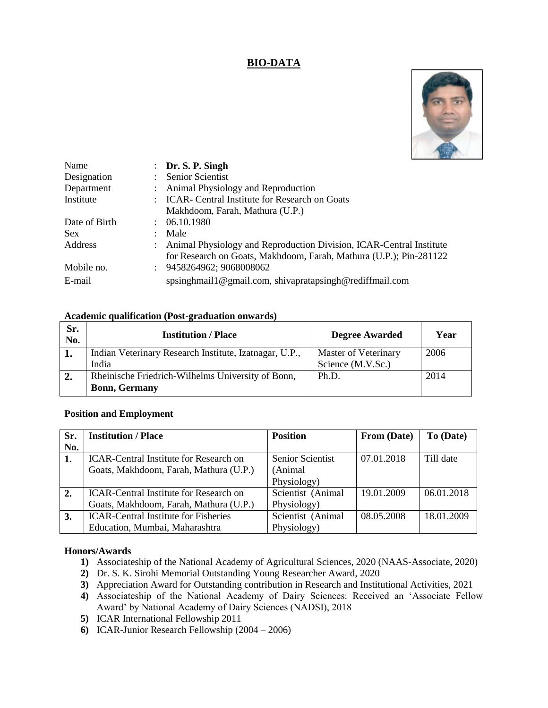# **BIO-DATA**



| Name          |               | $\therefore$ Dr. S. P. Singh                                        |
|---------------|---------------|---------------------------------------------------------------------|
| Designation   |               | <b>Senior Scientist</b>                                             |
| Department    |               | : Animal Physiology and Reproduction                                |
| Institute     |               | <b>ICAR-</b> Central Institute for Research on Goats                |
|               |               | Makhdoom, Farah, Mathura (U.P.)                                     |
| Date of Birth |               | : 06.10.1980                                                        |
| <b>Sex</b>    |               | Male                                                                |
| Address       |               | Animal Physiology and Reproduction Division, ICAR-Central Institute |
|               |               | for Research on Goats, Makhdoom, Farah, Mathura (U.P.); Pin-281122  |
| Mobile no.    | $\mathcal{L}$ | 9458264962; 9068008062                                              |
| E-mail        |               | spsinghmail1@gmail.com, shivapratapsingh@rediffmail.com             |

#### **Academic qualification (Post-graduation onwards)**

| Sr.<br>No. | <b>Institution / Place</b>                             | <b>Degree Awarded</b> | Year |
|------------|--------------------------------------------------------|-----------------------|------|
| 1.         | Indian Veterinary Research Institute, Izatnagar, U.P., | Master of Veterinary  | 2006 |
|            | India                                                  | Science (M.V.Sc.)     |      |
| 2.         | Rheinische Friedrich-Wilhelms University of Bonn,      | Ph.D.                 | 2014 |
|            | <b>Bonn, Germany</b>                                   |                       |      |

#### **Position and Employment**

| Sr. | <b>Institution / Place</b>                    | <b>Position</b>         | From (Date) | To (Date)  |
|-----|-----------------------------------------------|-------------------------|-------------|------------|
| No. |                                               |                         |             |            |
| 1.  | <b>ICAR-Central Institute for Research on</b> | <b>Senior Scientist</b> | 07.01.2018  | Till date  |
|     | Goats, Makhdoom, Farah, Mathura (U.P.)        | (Animal)                |             |            |
|     |                                               | Physiology)             |             |            |
| 2.  | <b>ICAR-Central Institute for Research on</b> | Scientist (Animal       | 19.01.2009  | 06.01.2018 |
|     | Goats, Makhdoom, Farah, Mathura (U.P.)        | Physiology)             |             |            |
| 3.  | <b>ICAR-Central Institute for Fisheries</b>   | Scientist (Animal       | 08.05.2008  | 18.01.2009 |
|     | Education, Mumbai, Maharashtra                | Physiology)             |             |            |

#### **Honors/Awards**

- **1)** Associateship of the National Academy of Agricultural Sciences, 2020 (NAAS-Associate, 2020)
- **2)** Dr. S. K. Sirohi Memorial Outstanding Young Researcher Award, 2020
- **3)** Appreciation Award for Outstanding contribution in Research and Institutional Activities, 2021
- **4)** Associateship of the National Academy of Dairy Sciences: Received an 'Associate Fellow Award' by National Academy of Dairy Sciences (NADSI), 2018
- **5)** ICAR International Fellowship 2011
- **6)** ICAR-Junior Research Fellowship (2004 2006)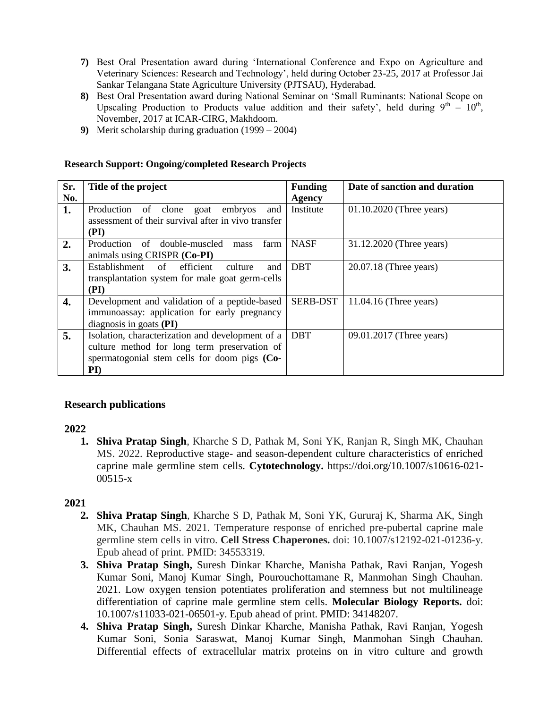- **7)** Best Oral Presentation award during 'International Conference and Expo on Agriculture and Veterinary Sciences: Research and Technology', held during October 23-25, 2017 at Professor Jai Sankar Telangana State Agriculture University (PJTSAU), Hyderabad.
- **8)** Best Oral Presentation award during National Seminar on 'Small Ruminants: National Scope on Upscaling Production to Products value addition and their safety', held during  $9^{th} - 10^{th}$ , November, 2017 at ICAR-CIRG, Makhdoom.
- **9)** Merit scholarship during graduation (1999 2004)

| Sr. | Title of the project                                | <b>Funding</b>  | Date of sanction and duration |
|-----|-----------------------------------------------------|-----------------|-------------------------------|
| No. |                                                     | Agency          |                               |
| 1.  | Production of clone<br>embryos<br>goat<br>and       | Institute       | $01.10.2020$ (Three years)    |
|     | assessment of their survival after in vivo transfer |                 |                               |
|     | (PI)                                                |                 |                               |
| 2.  | Production of double-muscled<br>farm<br>mass        | <b>NASF</b>     | 31.12.2020 (Three years)      |
|     | animals using CRISPR (Co-PI)                        |                 |                               |
| 3.  | Establishment of<br>efficient<br>culture<br>and     | <b>DBT</b>      | $20.07.18$ (Three years)      |
|     | transplantation system for male goat germ-cells     |                 |                               |
|     | (PI)                                                |                 |                               |
| 4.  | Development and validation of a peptide-based       | <b>SERB-DST</b> | $11.04.16$ (Three years)      |
|     | immunoassay: application for early pregnancy        |                 |                               |
|     | diagnosis in goats (PI)                             |                 |                               |
| 5.  | Isolation, characterization and development of a    | <b>DBT</b>      | 09.01.2017 (Three years)      |
|     | culture method for long term preservation of        |                 |                               |
|     | spermatogonial stem cells for doom pigs (Co-        |                 |                               |
|     | $\mathbf{PI}$                                       |                 |                               |

#### **Research Support: Ongoing/completed Research Projects**

#### **Research publications**

#### **2022**

**1. Shiva Pratap Singh**, Kharche S D, Pathak M, Soni YK, Ranjan R, Singh MK, Chauhan MS. 2022. Reproductive stage- and season-dependent culture characteristics of enriched caprine male germline stem cells. **Cytotechnology.** https://doi.org/10.1007/s10616-021- 00515-x

- **2. Shiva Pratap Singh**, Kharche S D, Pathak M, Soni YK, Gururaj K, Sharma AK, Singh MK, Chauhan MS. 2021. Temperature response of enriched pre-pubertal caprine male germline stem cells in vitro. **Cell Stress Chaperones.** doi: 10.1007/s12192-021-01236-y. Epub ahead of print. PMID: 34553319.
- **3. Shiva Pratap Singh,** Suresh Dinkar Kharche, Manisha Pathak, Ravi Ranjan, Yogesh Kumar Soni, Manoj Kumar Singh, Pourouchottamane R, Manmohan Singh Chauhan. 2021. Low oxygen tension potentiates proliferation and stemness but not multilineage differentiation of caprine male germline stem cells. **Molecular Biology Reports.** doi: 10.1007/s11033-021-06501-y. Epub ahead of print. PMID: 34148207.
- **4. Shiva Pratap Singh,** Suresh Dinkar Kharche, Manisha Pathak, Ravi Ranjan, Yogesh Kumar Soni, Sonia Saraswat, Manoj Kumar Singh, Manmohan Singh Chauhan. Differential effects of extracellular matrix proteins on in vitro culture and growth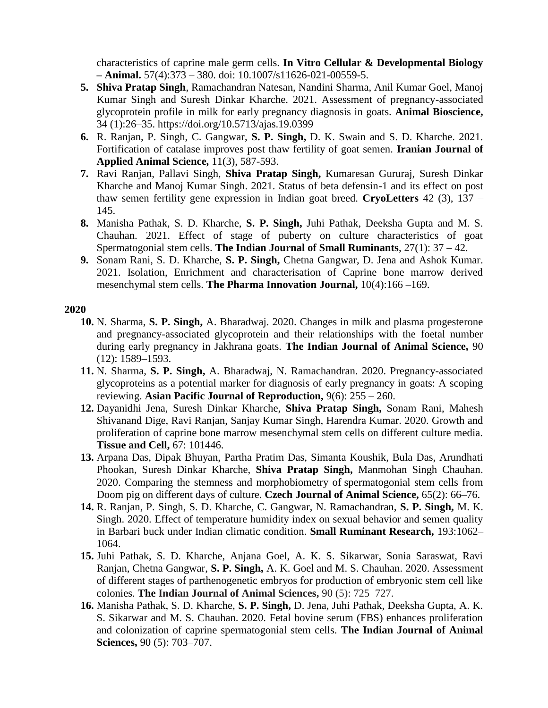characteristics of caprine male germ cells. **In Vitro Cellular & Developmental Biology – Animal.** 57(4):373 – 380. doi: 10.1007/s11626-021-00559-5.

- **5. Shiva Pratap Singh**, Ramachandran Natesan, Nandini Sharma, Anil Kumar Goel, Manoj Kumar Singh and Suresh Dinkar Kharche. 2021. Assessment of pregnancy-associated glycoprotein profile in milk for early pregnancy diagnosis in goats. **Animal Bioscience,** 34 (1):26–35. https://doi.org/10.5713/ajas.19.0399
- **6.** R. Ranjan, P. Singh, C. Gangwar, **S. P. Singh,** D. K. Swain and S. D. Kharche. 2021. Fortification of catalase improves post thaw fertility of goat semen. **Iranian Journal of Applied Animal Science,** 11(3), 587-593.
- **7.** Ravi Ranjan, Pallavi Singh, **Shiva Pratap Singh,** Kumaresan Gururaj, Suresh Dinkar Kharche and Manoj Kumar Singh. 2021. Status of beta defensin-1 and its effect on post thaw semen fertility gene expression in Indian goat breed. **CryoLetters** 42 (3), 137 – 145.
- **8.** Manisha Pathak, S. D. Kharche, **S. P. Singh,** Juhi Pathak, Deeksha Gupta and M. S. Chauhan. 2021. Effect of stage of puberty on culture characteristics of goat Spermatogonial stem cells. **The Indian Journal of Small Ruminants**, 27(1): 37 – 42.
- **9.** Sonam Rani, S. D. Kharche, **S. P. Singh,** Chetna Gangwar, D. Jena and Ashok Kumar. 2021. Isolation, Enrichment and characterisation of Caprine bone marrow derived mesenchymal stem cells. **The Pharma Innovation Journal,** 10(4):166 –169.

- **10.** N. Sharma, **S. P. Singh,** A. Bharadwaj. 2020. Changes in milk and plasma progesterone and pregnancy-associated glycoprotein and their relationships with the foetal number during early pregnancy in Jakhrana goats. **The Indian Journal of Animal Science,** 90 (12): 1589–1593.
- **11.** N. Sharma, **S. P. Singh,** A. Bharadwaj, N. Ramachandran. 2020. Pregnancy-associated glycoproteins as a potential marker for diagnosis of early pregnancy in goats: A scoping reviewing. **Asian Pacific Journal of Reproduction,** 9(6): 255 – 260.
- **12.** Dayanidhi Jena, Suresh Dinkar Kharche, **Shiva Pratap Singh,** Sonam Rani, Mahesh Shivanand Dige, Ravi Ranjan, Sanjay Kumar Singh, Harendra Kumar. 2020. Growth and proliferation of caprine bone marrow mesenchymal stem cells on different culture media. **Tissue and Cell,** 67: 101446.
- **13.** Arpana Das, Dipak Bhuyan, Partha Pratim Das, Simanta Koushik, Bula Das, Arundhati Phookan, Suresh Dinkar Kharche, **Shiva Pratap Singh,** Manmohan Singh Chauhan. 2020. Comparing the stemness and morphobiometry of spermatogonial stem cells from Doom pig on different days of culture. **Czech Journal of Animal Science,** 65(2): 66–76.
- **14.** R. Ranjan, P. Singh, S. D. Kharche, C. Gangwar, N. Ramachandran, **S. P. Singh,** M. K. Singh. 2020. Effect of temperature humidity index on sexual behavior and semen quality in Barbari buck under Indian climatic condition. **Small Ruminant Research,** 193:1062– 1064.
- **15.** Juhi Pathak, S. D. Kharche, Anjana Goel, A. K. S. Sikarwar, Sonia Saraswat, Ravi Ranjan, Chetna Gangwar, **S. P. Singh,** A. K. Goel and M. S. Chauhan. 2020. Assessment of different stages of parthenogenetic embryos for production of embryonic stem cell like colonies. **The Indian Journal of Animal Sciences,** 90 (5): 725–727.
- **16.** Manisha Pathak, S. D. Kharche, **S. P. Singh,** D. Jena, Juhi Pathak, Deeksha Gupta, A. K. S. Sikarwar and M. S. Chauhan. 2020. Fetal bovine serum (FBS) enhances proliferation and colonization of caprine spermatogonial stem cells. **The Indian Journal of Animal Sciences,** 90 (5): 703–707.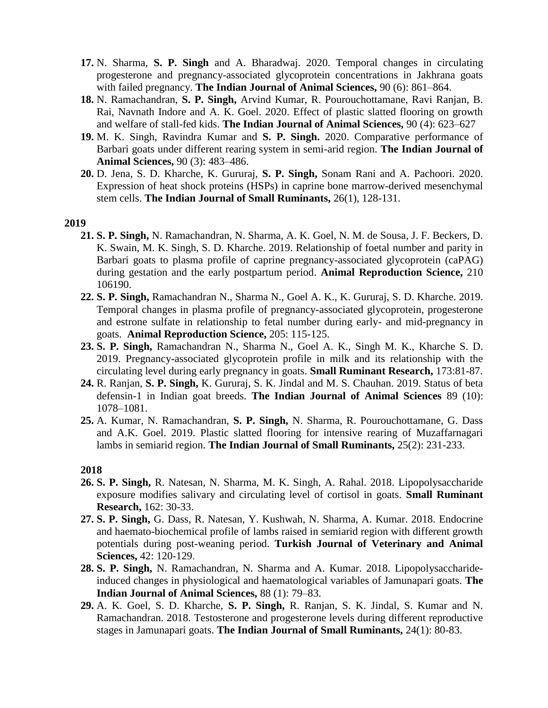- **17.** N. Sharma, **S. P. Singh** and A. Bharadwaj. 2020. Temporal changes in circulating progesterone and pregnancy-associated glycoprotein concentrations in Jakhrana goats with failed pregnancy. **The Indian Journal of Animal Sciences,** 90 (6): 861–864.
- **18.** N. Ramachandran, **S. P. Singh,** Arvind Kumar, R. Pourouchottamane, Ravi Ranjan, B. Rai, Navnath Indore and A. K. Goel. 2020. Effect of plastic slatted flooring on growth and welfare of stall-fed kids. **The Indian Journal of Animal Sciences,** 90 (4): 623–627
- **19.** M. K. Singh, Ravindra Kumar and **S. P. Singh.** 2020. Comparative performance of Barbari goats under different rearing system in semi-arid region. **The Indian Journal of Animal Sciences,** 90 (3): 483–486.
- **20.** D. Jena, S. D. Kharche, K. Gururaj, **S. P. Singh,** Sonam Rani and A. Pachoori. 2020. Expression of heat shock proteins (HSPs) in caprine bone marrow-derived mesenchymal stem cells. **The Indian Journal of Small Ruminants,** 26(1), 128-131.

### **2019**

- **21. S. P. Singh,** N. Ramachandran, N. Sharma, A. K. Goel, N. M. de Sousa, J. F. Beckers, D. K. Swain, M. K. Singh, S. D. Kharche. 2019. Relationship of foetal number and parity in Barbari goats to plasma profile of caprine pregnancy-associated glycoprotein (caPAG) during gestation and the early postpartum period. **Animal Reproduction Science,** 210 106190.
- **22. S. P. Singh,** Ramachandran N., Sharma N., Goel A. K., K. Gururaj, S. D. Kharche. 2019. Temporal changes in plasma profile of pregnancy-associated glycoprotein, progesterone and estrone sulfate in relationship to fetal number during early- and mid-pregnancy in goats. **Animal Reproduction Science,** 205: 115-125.
- **23. S. P. Singh,** Ramachandran N., Sharma N., Goel A. K., Singh M. K., Kharche S. D. 2019. Pregnancy-associated glycoprotein profile in milk and its relationship with the circulating level during early pregnancy in goats. **Small Ruminant Research,** 173:81-87.
- **24.** R. Ranjan, **S. P. Singh,** K. Gururaj, S. K. Jindal and M. S. Chauhan. 2019. Status of beta defensin-1 in Indian goat breeds. **The Indian Journal of Animal Sciences** 89 (10): 1078–1081.
- **25.** A. Kumar, N. Ramachandran, **S. P. Singh,** N. Sharma, R. Pourouchottamane, G. Dass and A.K. Goel. 2019. Plastic slatted flooring for intensive rearing of Muzaffarnagari lambs in semiarid region. **The Indian Journal of Small Ruminants,** 25(2): 231-233.

- **26. S. P. Singh,** R. Natesan, N. Sharma, M. K. Singh, A. Rahal. 2018. Lipopolysaccharide exposure modifies salivary and circulating level of cortisol in goats. **Small Ruminant Research,** 162: 30-33.
- **27. S. P. Singh,** G. Dass, R. Natesan, Y. Kushwah, N. Sharma, A. Kumar. 2018. Endocrine and haemato-biochemical profile of lambs raised in semiarid region with different growth potentials during post-weaning period. **Turkish Journal of Veterinary and Animal Sciences,** 42: 120-129.
- **28. S. P. Singh,** N. Ramachandran, N. Sharma and A. Kumar. 2018. Lipopolysaccharideinduced changes in physiological and haematological variables of Jamunapari goats. **The Indian Journal of Animal Sciences,** 88 (1): 79–83.
- **29.** A. K. Goel, S. D. Kharche, **S. P. Singh,** R. Ranjan, S. K. Jindal, S. Kumar and N. Ramachandran. 2018. Testosterone and progesterone levels during different reproductive stages in Jamunapari goats. **The Indian Journal of Small Ruminants,** 24(1): 80-83.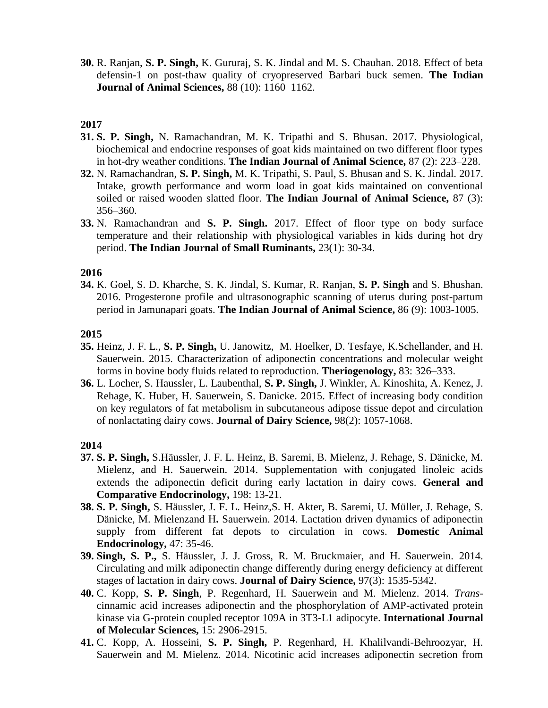**30.** R. Ranjan, **S. P. Singh,** K. Gururaj, S. K. Jindal and M. S. Chauhan. 2018. Effect of beta defensin-1 on post-thaw quality of cryopreserved Barbari buck semen. **The Indian Journal of Animal Sciences,** 88 (10): 1160–1162.

#### **2017**

- **31. S. P. Singh,** N. Ramachandran, M. K. Tripathi and S. Bhusan. 2017. Physiological, biochemical and endocrine responses of goat kids maintained on two different floor types in hot-dry weather conditions. **The Indian Journal of Animal Science,** 87 (2): 223–228.
- **32.** N. Ramachandran, **S. P. Singh,** M. K. Tripathi, S. Paul, S. Bhusan and S. K. Jindal. 2017. Intake, growth performance and worm load in goat kids maintained on conventional soiled or raised wooden slatted floor. **The Indian Journal of Animal Science,** 87 (3): 356–360.
- **33.** N. Ramachandran and **S. P. Singh.** 2017. Effect of floor type on body surface temperature and their relationship with physiological variables in kids during hot dry period. **The Indian Journal of Small Ruminants,** 23(1): 30-34.

#### **2016**

**34.** K. Goel, S. D. Kharche, S. K. Jindal, S. Kumar, R. Ranjan, **S. P. Singh** and S. Bhushan. 2016. Progesterone profile and ultrasonographic scanning of uterus during post-partum period in Jamunapari goats. **The Indian Journal of Animal Science,** 86 (9): 1003-1005.

### **2015**

- **35.** Heinz, J. F. L., **S. P. Singh,** U. Janowitz, M. Hoelker, D. Tesfaye, K.Schellander, and H. Sauerwein. 2015. Characterization of adiponectin concentrations and molecular weight forms in bovine body fluids related to reproduction. **Theriogenology,** 83: 326–333.
- **36.** L. Locher, S. Haussler, L. Laubenthal, **S. P. Singh,** J. Winkler, A. Kinoshita, A. Kenez, J. Rehage, K. Huber, H. Sauerwein, S. Danicke. 2015. Effect of increasing body condition on key regulators of fat metabolism in subcutaneous adipose tissue depot and circulation of nonlactating dairy cows. **Journal of Dairy Science,** 98(2): 1057-1068.

- **37. S. P. Singh,** S.Häussler, J. F. L. Heinz, B. Saremi, B. Mielenz, J. Rehage, S. Dänicke, M. Mielenz, and H. Sauerwein. 2014. Supplementation with conjugated linoleic acids extends the adiponectin deficit during early lactation in dairy cows. **General and Comparative Endocrinology,** 198: 13-21.
- **38. S. P. Singh,** S. Häussler, J. F. L. Heinz,S. H. Akter, B. Saremi, U. Müller, J. Rehage, S. Dänicke, M. Mielenzand H**.** Sauerwein. 2014. Lactation driven dynamics of adiponectin supply from different fat depots to circulation in cows. **Domestic Animal Endocrinology,** 47: 35-46.
- **39. Singh, S. P.,** S. Häussler, J. J. Gross, R. M. Bruckmaier, and H. Sauerwein. 2014. Circulating and milk adiponectin change differently during energy deficiency at different stages of lactation in dairy cows. **Journal of Dairy Science,** 97(3): 1535-5342.
- **40.** C. Kopp, **S. P. Singh**, P. Regenhard, H. Sauerwein and M. Mielenz. 2014. *Trans*cinnamic acid increases adiponectin and the phosphorylation of AMP-activated protein kinase via G-protein coupled receptor 109A in 3T3-L1 adipocyte. **International Journal of Molecular Sciences,** 15: 2906-2915.
- **41.** C. Kopp, A. Hosseini, **S. P. Singh,** P. Regenhard, H. Khalilvandi-Behroozyar, H. Sauerwein and M. Mielenz. 2014. Nicotinic acid increases adiponectin secretion from